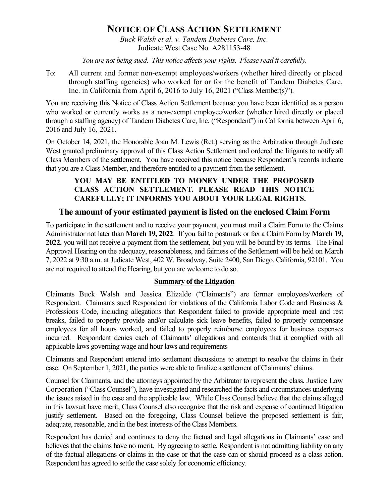# NOTICE OF CLASS ACTION SETTLEMENT

Buck Walsh et al. v. Tandem Diabetes Care, Inc. Judicate West Case No. A281153-48

You are not being sued. This notice affects your rights. Please read it carefully.

To: All current and former non-exempt employees/workers (whether hired directly or placed through staffing agencies) who worked for or for the benefit of Tandem Diabetes Care, Inc. in California from April 6, 2016 to July 16, 2021 ("Class Member(s)").

You are receiving this Notice of Class Action Settlement because you have been identified as a person who worked or currently works as a non-exempt employee/worker (whether hired directly or placed through a staffing agency) of Tandem Diabetes Care, Inc. ("Respondent") in California between April 6, 2016 and July 16, 2021.

On October 14, 2021, the Honorable Joan M. Lewis (Ret.) serving as the Arbitration through Judicate West granted preliminary approval of this Class Action Settlement and ordered the litigants to notify all Class Members of the settlement. You have received this notice because Respondent's records indicate that you are a Class Member, and therefore entitled to a payment from the settlement.

### YOU MAY BE ENTITLED TO MONEY UNDER THE PROPOSED CLASS ACTION SETTLEMENT. PLEASE READ THIS NOTICE CAREFULLY; IT INFORMS YOU ABOUT YOUR LEGAL RIGHTS.

## The amount of your estimated payment is listed on the enclosed Claim Form

To participate in the settlement and to receive your payment, you must mail a Claim Form to the Claims Administrator not later than March 19, 2022. If you fail to postmark or fax a Claim Form by March 19, 2022, you will not receive a payment from the settlement, but you will be bound by its terms. The Final Approval Hearing on the adequacy, reasonableness, and fairness of the Settlement will be held on March 7, 2022 at 9:30 a.m. at Judicate West, 402 W. Broadway, Suite 2400, San Diego, California, 92101. You are not required to attend the Hearing, but you are welcome to do so.

#### Summary of the Litigation

Claimants Buck Walsh and Jessica Elizalde ("Claimants") are former employees/workers of Respondent. Claimants sued Respondent for violations of the California Labor Code and Business & Professions Code, including allegations that Respondent failed to provide appropriate meal and rest breaks, failed to properly provide and/or calculate sick leave benefits, failed to properly compensate employees for all hours worked, and failed to properly reimburse employees for business expenses incurred. Respondent denies each of Claimants' allegations and contends that it complied with all applicable laws governing wage and hour laws and requirements

Claimants and Respondent entered into settlement discussions to attempt to resolve the claims in their case. On September 1, 2021, the parties were able to finalize a settlement of Claimants' claims.

Counsel for Claimants, and the attorneys appointed by the Arbitrator to represent the class, Justice Law Corporation ("Class Counsel"), have investigated and researched the facts and circumstances underlying the issues raised in the case and the applicable law. While Class Counsel believe that the claims alleged in this lawsuit have merit, Class Counsel also recognize that the risk and expense of continued litigation justify settlement. Based on the foregoing, Class Counsel believe the proposed settlement is fair, adequate, reasonable, and in the best interests of the Class Members.

Respondent has denied and continues to deny the factual and legal allegations in Claimants' case and believes that the claims have no merit. By agreeing to settle, Respondent is not admitting liability on any of the factual allegations or claims in the case or that the case can or should proceed as a class action. Respondent has agreed to settle the case solely for economic efficiency.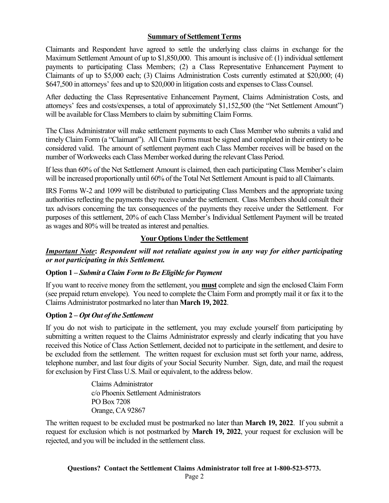### Summary of Settlement Terms

Claimants and Respondent have agreed to settle the underlying class claims in exchange for the Maximum Settlement Amount of up to \$1,850,000. This amount is inclusive of: (1) individual settlement payments to participating Class Members; (2) a Class Representative Enhancement Payment to Claimants of up to \$5,000 each; (3) Claims Administration Costs currently estimated at \$20,000; (4) \$647,500 in attorneys' fees and up to \$20,000 in litigation costs and expenses to Class Counsel.

After deducting the Class Representative Enhancement Payment, Claims Administration Costs, and attorneys' fees and costs/expenses, a total of approximately \$1,152,500 (the "Net Settlement Amount") will be available for Class Members to claim by submitting Claim Forms.

The Class Administrator will make settlement payments to each Class Member who submits a valid and timely Claim Form (a "Claimant"). All Claim Forms must be signed and completed in their entirety to be considered valid. The amount of settlement payment each Class Member receives will be based on the number of Workweeks each Class Member worked during the relevant Class Period.

If less than 60% of the Net Settlement Amount is claimed, then each participating Class Member's claim will be increased proportionally until 60% of the Total Net Settlement Amount is paid to all Claimants.

IRS Forms W-2 and 1099 will be distributed to participating Class Members and the appropriate taxing authorities reflecting the payments they receive under the settlement. Class Members should consult their tax advisors concerning the tax consequences of the payments they receive under the Settlement. For purposes of this settlement, 20% of each Class Member's Individual Settlement Payment will be treated as wages and 80% will be treated as interest and penalties.

### Your Options Under the Settlement

### Important Note: Respondent will not retaliate against you in any way for either participating or not participating in this Settlement.

### Option 1 – Submit a Claim Form to Be Eligible for Payment

If you want to receive money from the settlement, you **must** complete and sign the enclosed Claim Form (see prepaid return envelope). You need to complete the Claim Form and promptly mail it or fax it to the Claims Administrator postmarked no later than March 19, 2022.

### Option 2 – Opt Out of the Settlement

If you do not wish to participate in the settlement, you may exclude yourself from participating by submitting a written request to the Claims Administrator expressly and clearly indicating that you have received this Notice of Class Action Settlement, decided not to participate in the settlement, and desire to be excluded from the settlement. The written request for exclusion must set forth your name, address, telephone number, and last four digits of your Social Security Number. Sign, date, and mail the request for exclusion by First Class U.S. Mail or equivalent, to the address below.

> Claims Administrator c/o Phoenix Settlement Administrators PO Box 7208 Orange, CA 92867

The written request to be excluded must be postmarked no later than March 19, 2022. If you submit a request for exclusion which is not postmarked by March 19, 2022, your request for exclusion will be rejected, and you will be included in the settlement class.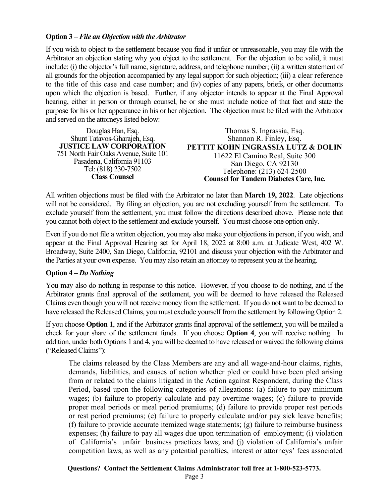#### Option 3 – File an Objection with the Arbitrator

If you wish to object to the settlement because you find it unfair or unreasonable, you may file with the Arbitrator an objection stating why you object to the settlement. For the objection to be valid, it must include: (i) the objector's full name, signature, address, and telephone number; (ii) a written statement of all grounds for the objection accompanied by any legal support for such objection; (iii) a clear reference to the title of this case and case number; and (iv) copies of any papers, briefs, or other documents upon which the objection is based. Further, if any objector intends to appear at the Final Approval hearing, either in person or through counsel, he or she must include notice of that fact and state the purpose for his or her appearance in his or her objection. The objection must be filed with the Arbitrator and served on the attorneys listed below:

Douglas Han, Esq. Shunt Tatavos-Gharajeh, Esq. JUSTICE LAW CORPORATION 751 North Fair Oaks Avenue, Suite 101 Pasadena, California 91103 Tel: (818) 230-7502 Class Counsel

Thomas S. Ingrassia, Esq. Shannon R. Finley, Esq. PETTIT KOHN INGRASSIA LUTZ & DOLIN 11622 El Camino Real, Suite 300 San Diego, CA 92130 Telephone: (213) 624-2500 Counsel for Tandem Diabetes Care, Inc.

All written objections must be filed with the Arbitrator no later than March 19, 2022. Late objections will not be considered. By filing an objection, you are not excluding yourself from the settlement. To exclude yourself from the settlement, you must follow the directions described above. Please note that you cannot both object to the settlement and exclude yourself. You must choose one option only.

Even if you do not file a written objection, you may also make your objections in person, if you wish, and appear at the Final Approval Hearing set for April 18, 2022 at 8:00 a.m. at Judicate West, 402 W. Broadway, Suite 2400, San Diego, California, 92101 and discuss your objection with the Arbitrator and the Parties at your own expense. You may also retain an attorney to represent you at the hearing.

#### Option 4 – Do Nothing

You may also do nothing in response to this notice. However, if you choose to do nothing, and if the Arbitrator grants final approval of the settlement, you will be deemed to have released the Released Claims even though you will not receive money from the settlement. If you do not want to be deemed to have released the Released Claims, you must exclude yourself from the settlement by following Option 2.

If you choose Option 1, and if the Arbitrator grants final approval of the settlement, you will be mailed a check for your share of the settlement funds. If you choose Option 4, you will receive nothing. In addition, under both Options 1 and 4, you will be deemed to have released or waived the following claims ("Released Claims"):

The claims released by the Class Members are any and all wage-and-hour claims, rights, demands, liabilities, and causes of action whether pled or could have been pled arising from or related to the claims litigated in the Action against Respondent, during the Class Period, based upon the following categories of allegations: (a) failure to pay minimum wages; (b) failure to properly calculate and pay overtime wages; (c) failure to provide proper meal periods or meal period premiums; (d) failure to provide proper rest periods or rest period premiums; (e) failure to properly calculate and/or pay sick leave benefits; (f) failure to provide accurate itemized wage statements; (g) failure to reimburse business expenses; (h) failure to pay all wages due upon termination of employment; (i) violation of California's unfair business practices laws; and (j) violation of California's unfair competition laws, as well as any potential penalties, interest or attorneys' fees associated

#### Questions? Contact the Settlement Claims Administrator toll free at 1-800-523-5773.